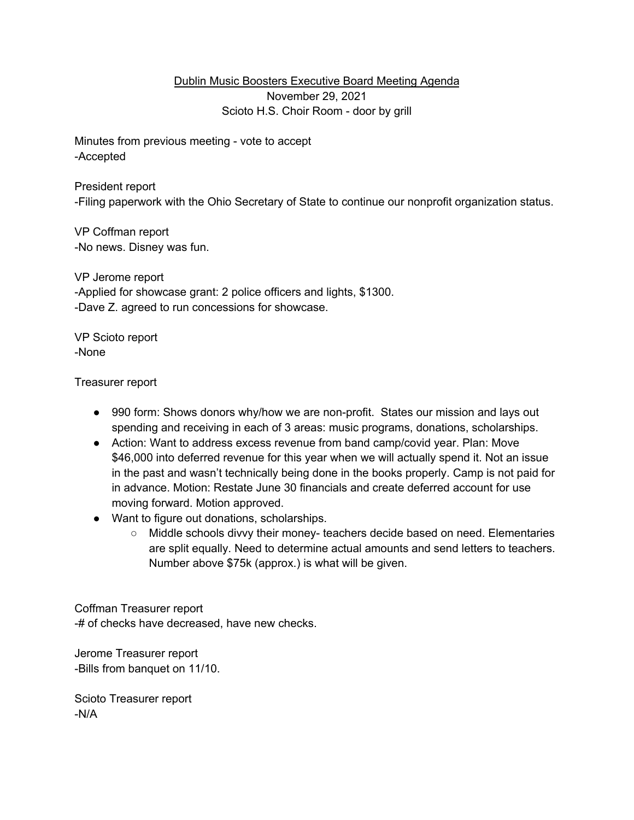Dublin Music Boosters Executive Board Meeting Agenda November 29, 2021 Scioto H.S. Choir Room - door by grill

Minutes from previous meeting - vote to accept -Accepted

President report -Filing paperwork with the Ohio Secretary of State to continue our nonprofit organization status.

VP Coffman report -No news. Disney was fun.

VP Jerome report -Applied for showcase grant: 2 police officers and lights, \$1300. -Dave Z. agreed to run concessions for showcase.

VP Scioto report -None

Treasurer report

- 990 form: Shows donors why/how we are non-profit. States our mission and lays out spending and receiving in each of 3 areas: music programs, donations, scholarships.
- Action: Want to address excess revenue from band camp/covid year. Plan: Move \$46,000 into deferred revenue for this year when we will actually spend it. Not an issue in the past and wasn't technically being done in the books properly. Camp is not paid for in advance. Motion: Restate June 30 financials and create deferred account for use moving forward. Motion approved.
- Want to figure out donations, scholarships.
	- Middle schools divvy their money- teachers decide based on need. Elementaries are split equally. Need to determine actual amounts and send letters to teachers. Number above \$75k (approx.) is what will be given.

Coffman Treasurer report -# of checks have decreased, have new checks.

Jerome Treasurer report -Bills from banquet on 11/10.

Scioto Treasurer report -N/A